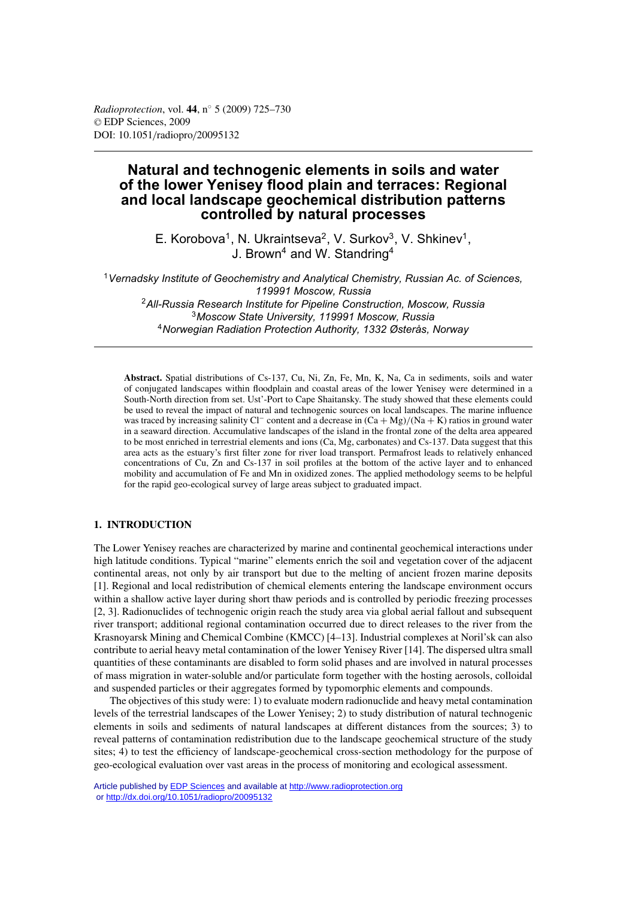# **Natural and technogenic elements in soils and water of the lower Yenisey flood plain and terraces: Regional and local landscape geochemical distribution patterns controlled by natural processes**

E. Korobova<sup>1</sup>, N. Ukraintseva<sup>2</sup>, V. Surkov<sup>3</sup>, V. Shkinev<sup>1</sup>, J. Brown<sup>4</sup> and W. Standring<sup>4</sup>

*Vernadsky Institute of Geochemistry and Analytical Chemistry, Russian Ac. of Sciences, 119991 Moscow, Russia All-Russia Research Institute for Pipeline Construction, Moscow, Russia Moscow State University, 119991 Moscow, Russia Norwegian Radiation Protection Authority, 1332 Østerås, Norway*

**Abstract.** Spatial distributions of Cs-137, Cu, Ni, Zn, Fe, Mn, K, Na, Ca in sediments, soils and water of conjugated landscapes within floodplain and coastal areas of the lower Yenisey were determined in a South-North direction from set. Ust'-Port to Cape Shaitansky. The study showed that these elements could be used to reveal the impact of natural and technogenic sources on local landscapes. The marine influence was traced by increasing salinity Cl<sup>−</sup> content and a decrease in  $(Ca + Mg)/(Na + K)$  ratios in ground water in a seaward direction. Accumulative landscapes of the island in the frontal zone of the delta area appeared to be most enriched in terrestrial elements and ions (Ca, Mg, carbonates) and Cs-137. Data suggest that this area acts as the estuary's first filter zone for river load transport. Permafrost leads to relatively enhanced concentrations of Cu, Zn and Cs-137 in soil profiles at the bottom of the active layer and to enhanced mobility and accumulation of Fe and Mn in oxidized zones. The applied methodology seems to be helpful for the rapid geo-ecological survey of large areas subject to graduated impact.

# **1. INTRODUCTION**

The Lower Yenisey reaches are characterized by marine and continental geochemical interactions under high latitude conditions. Typical "marine" elements enrich the soil and vegetation cover of the adjacent continental areas, not only by air transport but due to the melting of ancient frozen marine deposits [1]. Regional and local redistribution of chemical elements entering the landscape environment occurs within a shallow active layer during short thaw periods and is controlled by periodic freezing processes [2, 3]. Radionuclides of technogenic origin reach the study area via global aerial fallout and subsequent river transport; additional regional contamination occurred due to direct releases to the river from the Krasnoyarsk Mining and Chemical Combine (KMCC) [4–13]. Industrial complexes at Noril'sk can also contribute to aerial heavy metal contamination of the lower Yenisey River [14]. The dispersed ultra small quantities of these contaminants are disabled to form solid phases and are involved in natural processes of mass migration in water-soluble and/or particulate form together with the hosting aerosols, colloidal and suspended particles or their aggregates formed by typomorphic elements and compounds.

The objectives of this study were: 1) to evaluate modern radionuclide and heavy metal contamination levels of the terrestrial landscapes of the Lower Yenisey; 2) to study distribution of natural technogenic elements in soils and sediments of natural landscapes at different distances from the sources; 3) to reveal patterns of contamination redistribution due to the landscape geochemical structure of the study sites; 4) to test the efficiency of landscape-geochemical cross-section methodology for the purpose of geo-ecological evaluation over vast areas in the process of monitoring and ecological assessment.

Article published by [EDP Sciences](http://www.edpsciences.org) and available at<http://www.radioprotection.org> or <http://dx.doi.org/10.1051/radiopro/20095132>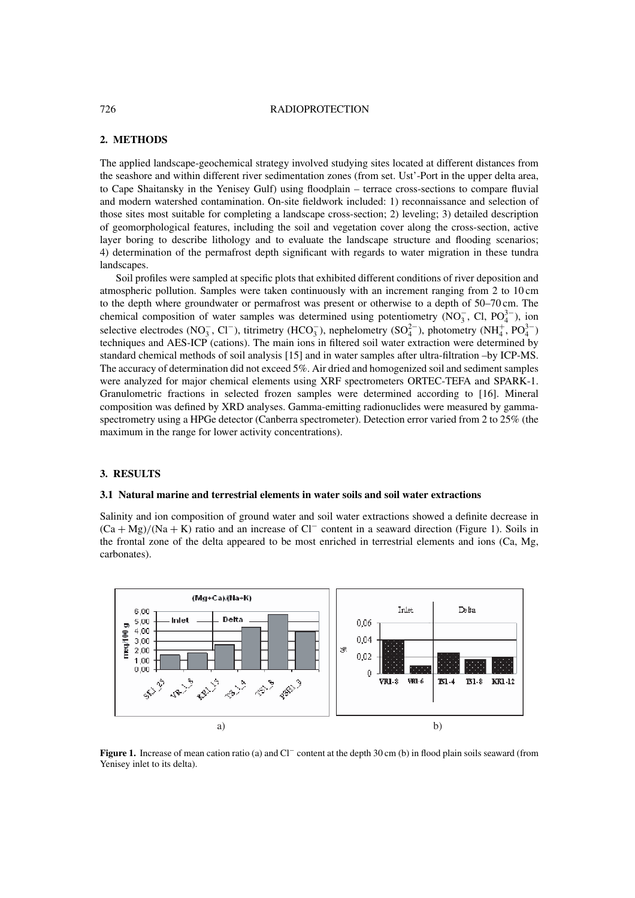#### 726 RADIOPROTECTION

## **2. METHODS**

The applied landscape-geochemical strategy involved studying sites located at different distances from the seashore and within different river sedimentation zones (from set. Ust'-Port in the upper delta area, to Cape Shaitansky in the Yenisey Gulf) using floodplain – terrace cross-sections to compare fluvial and modern watershed contamination. On-site fieldwork included: 1) reconnaissance and selection of those sites most suitable for completing a landscape cross-section; 2) leveling; 3) detailed description of geomorphological features, including the soil and vegetation cover along the cross-section, active layer boring to describe lithology and to evaluate the landscape structure and flooding scenarios; 4) determination of the permafrost depth significant with regards to water migration in these tundra landscapes.

Soil profiles were sampled at specific plots that exhibited different conditions of river deposition and atmospheric pollution. Samples were taken continuously with an increment ranging from 2 to 10 cm to the depth where groundwater or permafrost was present or otherwise to a depth of 50–70 cm. The chemical composition of water samples was determined using potentiometry (NO<sub>3</sub>, Cl, PO<sub>4</sub><sup>3</sup>), ion selective electrodes (NO<sub>3</sub>, Cl<sup>−</sup>), titrimetry (HCO<sub>3</sub><sup>-</sup>), nephelometry (SO<sub>4</sub><sup>-</sup>), photometry (NH<sub>4</sub><sup>+</sup>, PO<sub>4</sub><sup>3-</sup>) techniques and AES-ICP (cations). The main ions in filtered soil water extraction were determined by standard chemical methods of soil analysis [15] and in water samples after ultra-filtration –by ICP-MS. The accuracy of determination did not exceed 5%. Air dried and homogenized soil and sediment samples were analyzed for major chemical elements using XRF spectrometers ORTEC-TEFA and SPARK-1. Granulometric fractions in selected frozen samples were determined according to [16]. Mineral composition was defined by XRD analyses. Gamma-emitting radionuclides were measured by gammaspectrometry using a HPGe detector (Canberra spectrometer). Detection error varied from 2 to 25% (the maximum in the range for lower activity concentrations).

# **3. RESULTS**

## **3.1 Natural marine and terrestrial elements in water soils and soil water extractions**

Salinity and ion composition of ground water and soil water extractions showed a definite decrease in  $(Ca + Mg)/(Na + K)$  ratio and an increase of Cl<sup>−</sup> content in a seaward direction (Figure 1). Soils in the frontal zone of the delta appeared to be most enriched in terrestrial elements and ions (Ca, Mg, carbonates).



**Figure 1.** Increase of mean cation ratio (a) and Cl<sup>−</sup> content at the depth 30 cm (b) in flood plain soils seaward (from Yenisey inlet to its delta).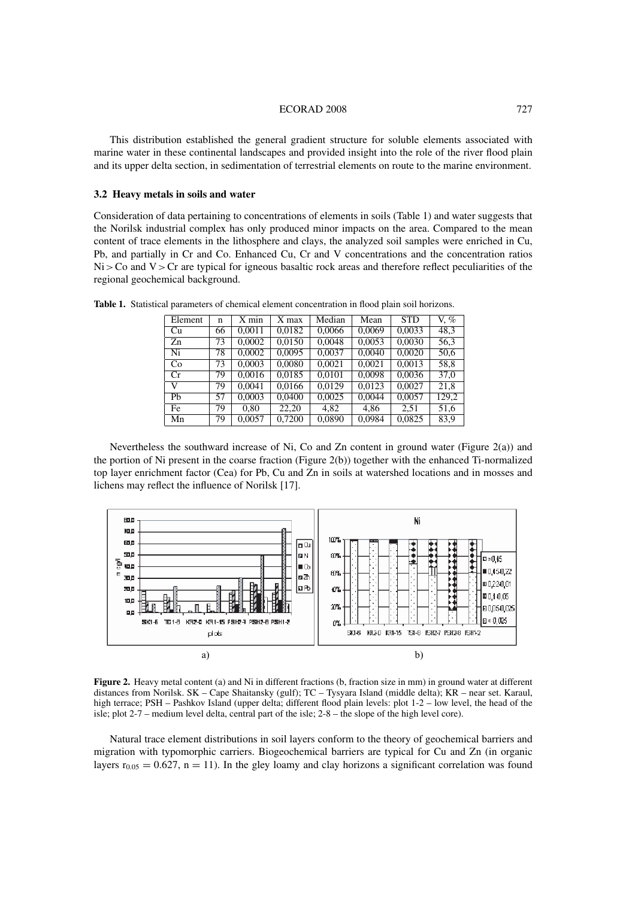#### ECORAD 2008 727

This distribution established the general gradient structure for soluble elements associated with marine water in these continental landscapes and provided insight into the role of the river flood plain and its upper delta section, in sedimentation of terrestrial elements on route to the marine environment.

# **3.2 Heavy metals in soils and water**

Consideration of data pertaining to concentrations of elements in soils (Table 1) and water suggests that the Norilsk industrial complex has only produced minor impacts on the area. Compared to the mean content of trace elements in the lithosphere and clays, the analyzed soil samples were enriched in Cu, Pb, and partially in Cr and Co. Enhanced Cu, Cr and V concentrations and the concentration ratios  $Ni > Co$  and  $V > Cr$  are typical for igneous basaltic rock areas and therefore reflect peculiarities of the regional geochemical background.

| Element | n  | $X$ min | X max  | Median | Mean   | <b>STD</b> | V, $%$ |
|---------|----|---------|--------|--------|--------|------------|--------|
| Cu      | 66 | 0.0011  | 0.0182 | 0.0066 | 0,0069 | 0,0033     | 48,3   |
| Zn      | 73 | 0.0002  | 0,0150 | 0.0048 | 0,0053 | 0,0030     | 56,3   |
| Ni      | 78 | 0.0002  | 0.0095 | 0.0037 | 0.0040 | 0.0020     | 50,6   |
| Co      | 73 | 0,0003  | 0,0080 | 0,0021 | 0,0021 | 0,0013     | 58,8   |
| Cr      | 79 | 0,0016  | 0.0185 | 0.0101 | 0.0098 | 0,0036     | 37,0   |
| V       | 79 | 0.0041  | 0,0166 | 0.0129 | 0,0123 | 0.0027     | 21,8   |
| Ph      | 57 | 0,0003  | 0.0400 | 0,0025 | 0.0044 | 0,0057     | 129,2  |
| Fe      | 79 | 0.80    | 22.20  | 4.82   | 4.86   | 2.51       | 51,6   |
| Mn      | 79 | 0,0057  | 0,7200 | 0,0890 | 0,0984 | 0,0825     | 83,9   |

**Table 1.** Statistical parameters of chemical element concentration in flood plain soil horizons.

Nevertheless the southward increase of Ni, Co and Zn content in ground water (Figure 2(a)) and the portion of Ni present in the coarse fraction (Figure 2(b)) together with the enhanced Ti-normalized top layer enrichment factor (Cea) for Pb, Cu and Zn in soils at watershed locations and in mosses and lichens may reflect the influence of Norilsk [17].



**Figure 2.** Heavy metal content (a) and Ni in different fractions (b, fraction size in mm) in ground water at different distances from Norilsk. SK – Cape Shaitansky (gulf); TC – Tysyara Island (middle delta); KR – near set. Karaul, high terrace; PSH – Pashkov Island (upper delta; different flood plain levels: plot 1-2 – low level, the head of the isle; plot 2-7 – medium level delta, central part of the isle; 2-8 – the slope of the high level core).

Natural trace element distributions in soil layers conform to the theory of geochemical barriers and migration with typomorphic carriers. Biogeochemical barriers are typical for Cu and Zn (in organic layers  $r_{0.05} = 0.627$ , n = 11). In the gley loamy and clay horizons a significant correlation was found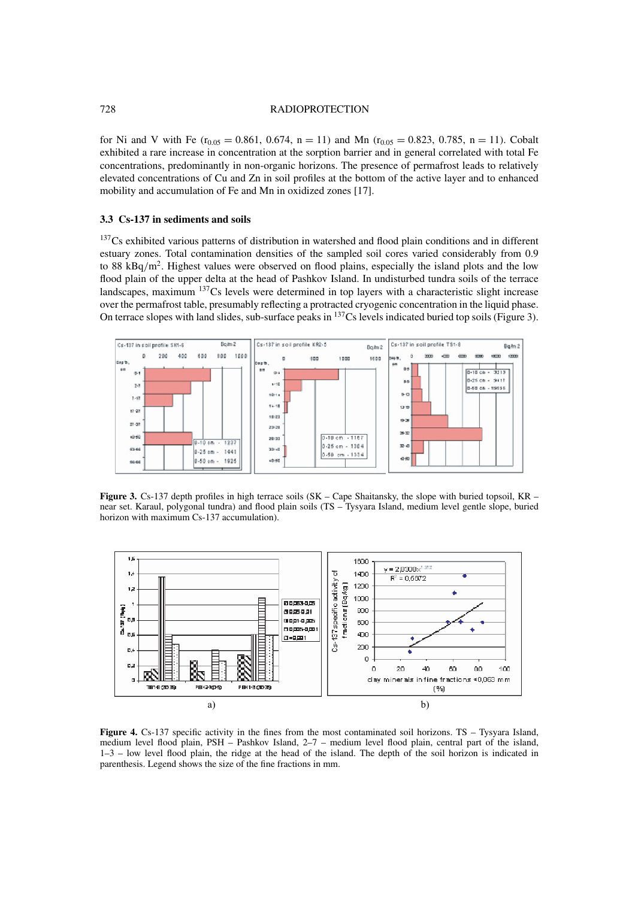#### 728 RADIOPROTECTION

for Ni and V with Fe ( $r_{0.05} = 0.861$ , 0.674, n = 11) and Mn ( $r_{0.05} = 0.823$ , 0.785, n = 11). Cobalt exhibited a rare increase in concentration at the sorption barrier and in general correlated with total Fe concentrations, predominantly in non-organic horizons. The presence of permafrost leads to relatively elevated concentrations of Cu and Zn in soil profiles at the bottom of the active layer and to enhanced mobility and accumulation of Fe and Mn in oxidized zones [17].

# **3.3 Cs-137 in sediments and soils**

 $137Cs$  exhibited various patterns of distribution in watershed and flood plain conditions and in different estuary zones. Total contamination densities of the sampled soil cores varied considerably from 0.9 to 88 kBq/m<sup>2</sup>. Highest values were observed on flood plains, especially the island plots and the low flood plain of the upper delta at the head of Pashkov Island. In undisturbed tundra soils of the terrace landscapes, maximum <sup>137</sup>Cs levels were determined in top layers with a characteristic slight increase over the permafrost table, presumably reflecting a protracted cryogenic concentration in the liquid phase. On terrace slopes with land slides, sub-surface peaks in 137Cs levels indicated buried top soils (Figure 3).



**Figure 3.** Cs-137 depth profiles in high terrace soils (SK – Cape Shaitansky, the slope with buried topsoil, KR – near set. Karaul, polygonal tundra) and flood plain soils (TS – Tysyara Island, medium level gentle slope, buried horizon with maximum Cs-137 accumulation).



**Figure 4.** Cs-137 specific activity in the fines from the most contaminated soil horizons. TS – Tysyara Island, medium level flood plain, PSH – Pashkov Island, 2–7 – medium level flood plain, central part of the island, 1–3 – low level flood plain, the ridge at the head of the island. The depth of the soil horizon is indicated in parenthesis. Legend shows the size of the fine fractions in mm.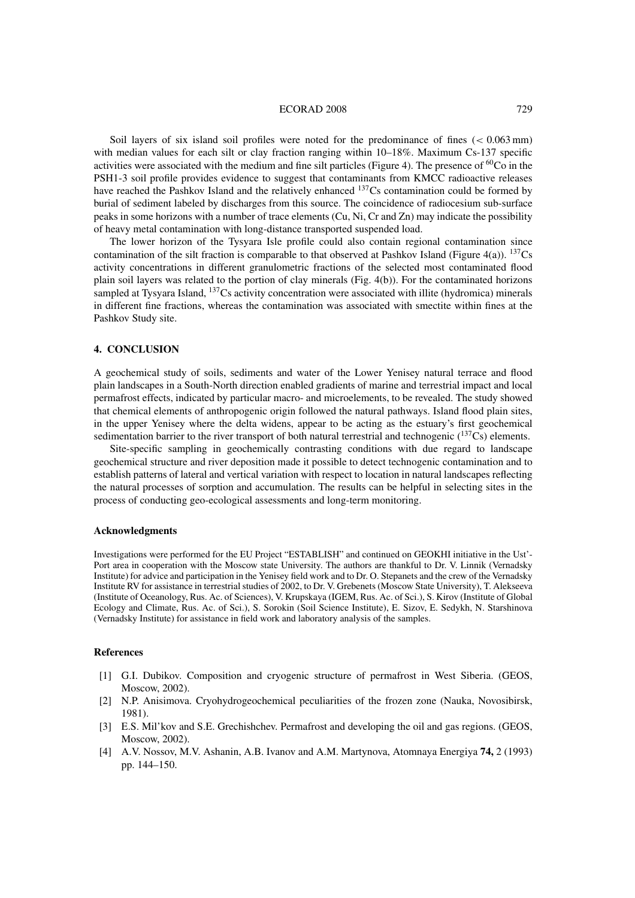#### ECORAD 2008 729

Soil layers of six island soil profiles were noted for the predominance of fines ( $< 0.063$  mm) with median values for each silt or clay fraction ranging within 10–18%. Maximum Cs-137 specific activities were associated with the medium and fine silt particles (Figure 4). The presence of  ${}^{60}Co$  in the PSH1-3 soil profile provides evidence to suggest that contaminants from KMCC radioactive releases have reached the Pashkov Island and the relatively enhanced <sup>137</sup>Cs contamination could be formed by burial of sediment labeled by discharges from this source. The coincidence of radiocesium sub-surface peaks in some horizons with a number of trace elements (Cu, Ni, Cr and Zn) may indicate the possibility of heavy metal contamination with long-distance transported suspended load.

The lower horizon of the Tysyara Isle profile could also contain regional contamination since contamination of the silt fraction is comparable to that observed at Pashkov Island (Figure 4(a)). <sup>137</sup>Cs activity concentrations in different granulometric fractions of the selected most contaminated flood plain soil layers was related to the portion of clay minerals (Fig. 4(b)). For the contaminated horizons sampled at Tysyara Island, <sup>137</sup>Cs activity concentration were associated with illite (hydromica) minerals in different fine fractions, whereas the contamination was associated with smectite within fines at the Pashkov Study site.

## **4. CONCLUSION**

A geochemical study of soils, sediments and water of the Lower Yenisey natural terrace and flood plain landscapes in a South-North direction enabled gradients of marine and terrestrial impact and local permafrost effects, indicated by particular macro- and microelements, to be revealed. The study showed that chemical elements of anthropogenic origin followed the natural pathways. Island flood plain sites, in the upper Yenisey where the delta widens, appear to be acting as the estuary's first geochemical sedimentation barrier to the river transport of both natural terrestrial and technogenic  $(^{137}Cs)$  elements.

Site-specific sampling in geochemically contrasting conditions with due regard to landscape geochemical structure and river deposition made it possible to detect technogenic contamination and to establish patterns of lateral and vertical variation with respect to location in natural landscapes reflecting the natural processes of sorption and accumulation. The results can be helpful in selecting sites in the process of conducting geo-ecological assessments and long-term monitoring.

## **Acknowledgments**

Investigations were performed for the EU Project "ESTABLISH" and continued on GEOKHI initiative in the Ust'- Port area in cooperation with the Moscow state University. The authors are thankful to Dr. V. Linnik (Vernadsky Institute) for advice and participation in the Yenisey field work and to Dr. O. Stepanets and the crew of the Vernadsky Institute RV for assistance in terrestrial studies of 2002, to Dr. V. Grebenets (Moscow State University), T. Alekseeva (Institute of Oceanology, Rus. Ac. of Sciences), V. Krupskaya (IGEM, Rus. Ac. of Sci.), S. Kirov (Institute of Global Ecology and Climate, Rus. Ac. of Sci.), S. Sorokin (Soil Science Institute), E. Sizov, E. Sedykh, N. Starshinova (Vernadsky Institute) for assistance in field work and laboratory analysis of the samples.

#### **References**

- [1] G.I. Dubikov. Composition and cryogenic structure of permafrost in West Siberia. (GEOS, Moscow, 2002).
- [2] N.P. Anisimova. Cryohydrogeochemical peculiarities of the frozen zone (Nauka, Novosibirsk, 1981).
- [3] E.S. Mil'kov and S.E. Grechishchev. Permafrost and developing the oil and gas regions. (GEOS, Moscow, 2002).
- [4] A.V. Nossov, M.V. Ashanin, A.B. Ivanov and A.M. Martynova, Atomnaya Energiya **74,** 2 (1993) pp. 144–150.